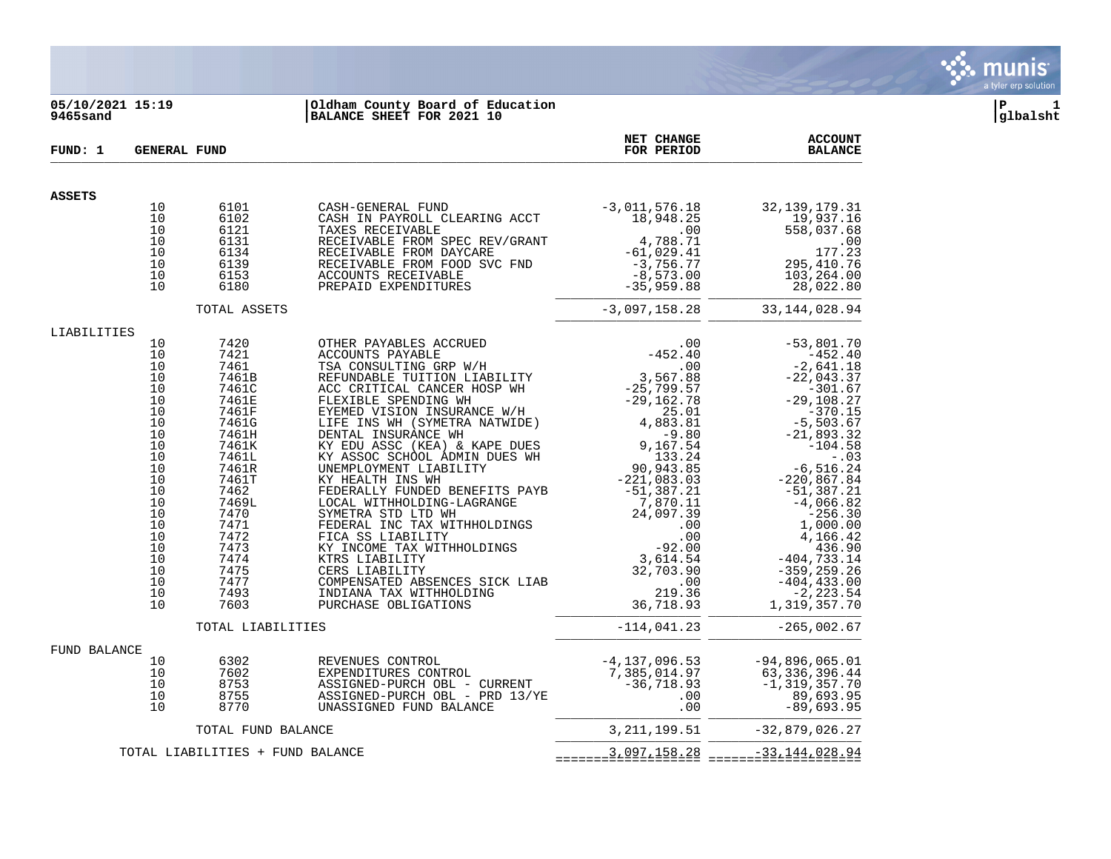

# **05/10/2021 15:19 |Oldham County Board of Education |P 1 9465sand |BALANCE SHEET FOR 2021 10 |glbalsht**

| FUND: 1       |                                                                                                                                              | <b>GENERAL FUND</b>                                                                                                                                                                                     |                                                                                                                                                                                                                                                               | NET CHANGE<br>FOR PERIOD                                                         | <b>ACCOUNT</b><br><b>BALANCE</b>                                                                                                                                                                                                                                                                                                                             |
|---------------|----------------------------------------------------------------------------------------------------------------------------------------------|---------------------------------------------------------------------------------------------------------------------------------------------------------------------------------------------------------|---------------------------------------------------------------------------------------------------------------------------------------------------------------------------------------------------------------------------------------------------------------|----------------------------------------------------------------------------------|--------------------------------------------------------------------------------------------------------------------------------------------------------------------------------------------------------------------------------------------------------------------------------------------------------------------------------------------------------------|
| <b>ASSETS</b> |                                                                                                                                              |                                                                                                                                                                                                         |                                                                                                                                                                                                                                                               |                                                                                  |                                                                                                                                                                                                                                                                                                                                                              |
|               | 10<br>10<br>10<br>10<br>10<br>10<br>10<br>10                                                                                                 | 6101<br>6102<br>6121<br>6131<br>6134<br>6139<br>6153<br>6180                                                                                                                                            | CASH-GENERAL FUND<br>CASH IN PAYROLL CLEARING ACCT<br>19<br>RECEIVABLE FROM SPEC REV/GRANT<br>RECEIVABLE FROM DAYCARE<br>RECEIVABLE FROM DAYCARE<br>RECEIVABLE FROM FOOD SVC FND<br>ACCOUNTS RECEIVABLE<br>PREPAID EXPENDITURES<br>PREPAID EXPENDITURES<br>28 | $-3,011,576.18$<br>18,948.25                                                     | 32, 139, 179. 31<br>19,937.16<br>558,037.68<br>$.00$<br>177.23<br>295,410.76<br>103,264.00<br>28,022.80                                                                                                                                                                                                                                                      |
|               |                                                                                                                                              | TOTAL ASSETS                                                                                                                                                                                            |                                                                                                                                                                                                                                                               | $-3,097,158.28$                                                                  | 33, 144, 028.94                                                                                                                                                                                                                                                                                                                                              |
| LIABILITIES   | 10<br>10<br>10<br>10<br>10<br>10<br>10<br>10<br>10<br>10<br>10<br>10<br>10<br>10<br>10<br>10<br>10<br>10<br>10<br>10<br>10<br>10<br>10<br>10 | 7420<br>7421<br>7461<br>7461B<br>7461C<br>7461E<br>7461F<br>7461G<br>7461H<br>7461K<br>7461L<br>7461R<br>7461T<br>7462<br>7469L<br>7470<br>7471<br>7472<br>7473<br>7474<br>7475<br>7477<br>7493<br>7603 | KY ASSOC SCHOOL ADMIN DUES WH<br>COMPENSATED ABSENCES SICK LIAB<br>INDIANA TAX WITHHOLDING<br>PURCHASE OBLIGATIONS                                                                                                                                            | $.00 \,$<br>219.36<br>36,718.93                                                  | $-53,801.70$<br>$-452.40$<br>$-2,641.18$<br>$-22,043.37$<br>$-301.67$<br>$-29, 108.27$<br>$-370.15$<br>$-5,503.67$<br>$-21,893.32$<br>$-104.58$<br>$-.03$<br>−6,516.24<br>220,867.84−<br>51,387.21<br>-4,066.82<br>$-256.30$<br>1,000.00<br>4,166.42<br>436.50<br>404,733.14 –<br>359,259.26<br>404,433.00<br>$-404, 433.00$<br>$-2, 223.54$<br>1,319,357.70 |
|               |                                                                                                                                              | TOTAL LIABILITIES                                                                                                                                                                                       |                                                                                                                                                                                                                                                               | $-114,041.23$                                                                    | $-265,002.67$                                                                                                                                                                                                                                                                                                                                                |
| FUND BALANCE  | 10<br>10<br>10<br>10<br>10                                                                                                                   | 6302<br>7602<br>8753<br>8755<br>8770                                                                                                                                                                    | REVENUES CONTROL<br>EXPENDITURES CONTROL<br>ASSIGNED-PURCH OBL - CURRENT<br>ASSIGNED-PURCH OBL - PRD 13/YE<br>UNASSIGNED FUND BALANCE                                                                                                                         | $-4, 137, 096.53$<br>7,385,014.97<br>$-36,718.93$<br>.00<br>.00                  | $-94,896,065.01$<br>63,336,396.44<br>$-1, 319, 357.70$<br>89,693.95<br>$-89,693.95$                                                                                                                                                                                                                                                                          |
|               |                                                                                                                                              | TOTAL FUND BALANCE                                                                                                                                                                                      |                                                                                                                                                                                                                                                               | 3, 211, 199. 51                                                                  | $-32,879,026.27$                                                                                                                                                                                                                                                                                                                                             |
|               |                                                                                                                                              | TOTAL LIABILITIES + FUND BALANCE                                                                                                                                                                        |                                                                                                                                                                                                                                                               | $=$ = $=$ = $=$ $=$ $\frac{3}{2}$ $\frac{097}{5}$ $\frac{158}{5}$ $\frac{28}{5}$ | $=$ = = = = = $=$ $=$ $=$ $\frac{33}{4}$ $\frac{144}{4}$ $\frac{028}{4}$ $\frac{04}{4}$                                                                                                                                                                                                                                                                      |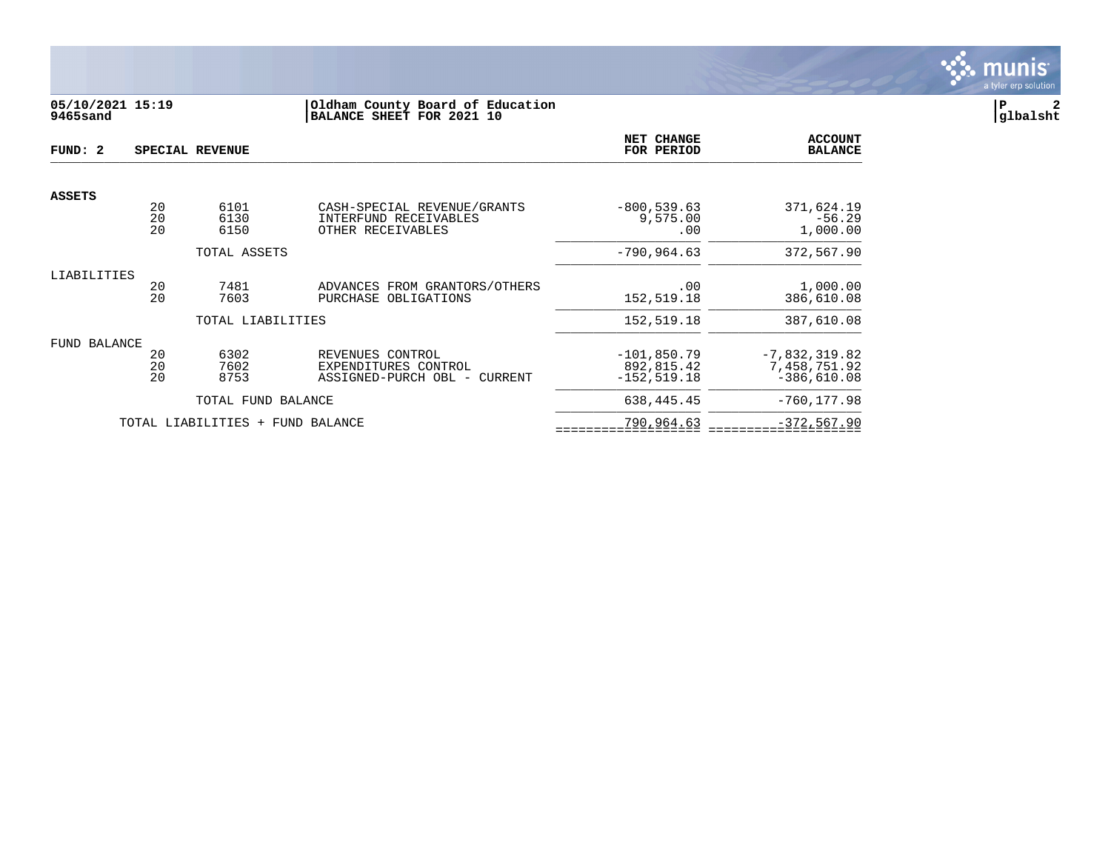

# **05/10/2021 15:19 |Oldham County Board of Education |P 2 9465sand |BALANCE SHEET FOR 2021 10 |glbalsht**

| FUND: 2             |                | SPECIAL REVENUE                  |                                                                                     | NET CHANGE<br>FOR PERIOD                      | <b>ACCOUNT</b><br><b>BALANCE</b>                 |
|---------------------|----------------|----------------------------------|-------------------------------------------------------------------------------------|-----------------------------------------------|--------------------------------------------------|
|                     |                |                                  |                                                                                     |                                               |                                                  |
| <b>ASSETS</b>       | 20<br>20<br>20 | 6101<br>6130<br>6150             | CASH-SPECIAL REVENUE/GRANTS<br>INTERFUND RECEIVABLES<br>OTHER RECEIVABLES           | $-800, 539.63$<br>9,575.00<br>.00             | 371,624.19<br>$-56.29$<br>1,000.00               |
|                     |                | TOTAL ASSETS                     |                                                                                     | $-790, 964.63$                                | 372,567.90                                       |
| LIABILITIES         | 20<br>2.0      | 7481<br>7603                     | ADVANCES FROM GRANTORS/OTHERS<br>PURCHASE<br>OBLIGATIONS                            | .00<br>152,519.18                             | 1,000.00<br>386,610.08                           |
|                     |                | TOTAL LIABILITIES                |                                                                                     | 152,519.18                                    | 387,610.08                                       |
| <b>FUND BALANCE</b> | 20<br>20<br>20 | 6302<br>7602<br>8753             | REVENUES CONTROL<br>EXPENDITURES CONTROL<br>ASSIGNED-PURCH OBL<br>CURRENT<br>$\sim$ | $-101.850.79$<br>892,815.42<br>$-152, 519.18$ | $-7,832,319.82$<br>7,458,751.92<br>$-386,610.08$ |
|                     |                | TOTAL FUND BALANCE               |                                                                                     | 638, 445. 45                                  | $-760, 177.98$                                   |
|                     |                | TOTAL LIABILITIES + FUND BALANCE |                                                                                     | 790,964.63                                    | $-372, 567.90$                                   |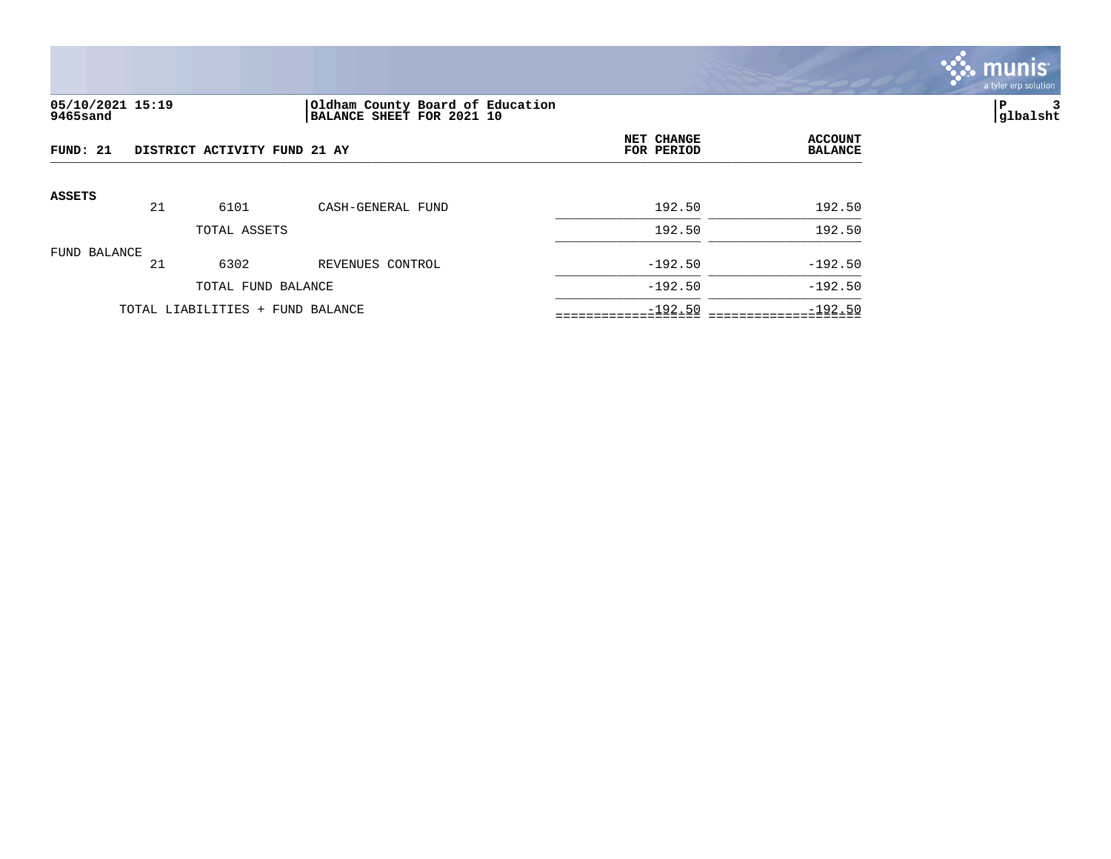

# **05/10/2021 15:19 |Oldham County Board of Education |P 3 9465sand |BALANCE SHEET FOR 2021 10 |glbalsht**

| FUND: 21     |    | DISTRICT ACTIVITY FUND 21 AY     |                   | NET CHANGE<br>FOR PERIOD | <b>ACCOUNT</b><br><b>BALANCE</b> |
|--------------|----|----------------------------------|-------------------|--------------------------|----------------------------------|
| ASSETS       | 21 | 6101                             | CASH-GENERAL FUND | 192.50                   | 192.50                           |
|              |    | TOTAL ASSETS                     |                   | 192.50                   | 192.50                           |
| FUND BALANCE | 21 | 6302                             | REVENUES CONTROL  | $-192.50$                | $-192.50$                        |
|              |    | TOTAL FUND BALANCE               |                   | $-192.50$                | $-192.50$                        |
|              |    | TOTAL LIABILITIES + FUND BALANCE |                   | $-192.50$                | $-192.50$                        |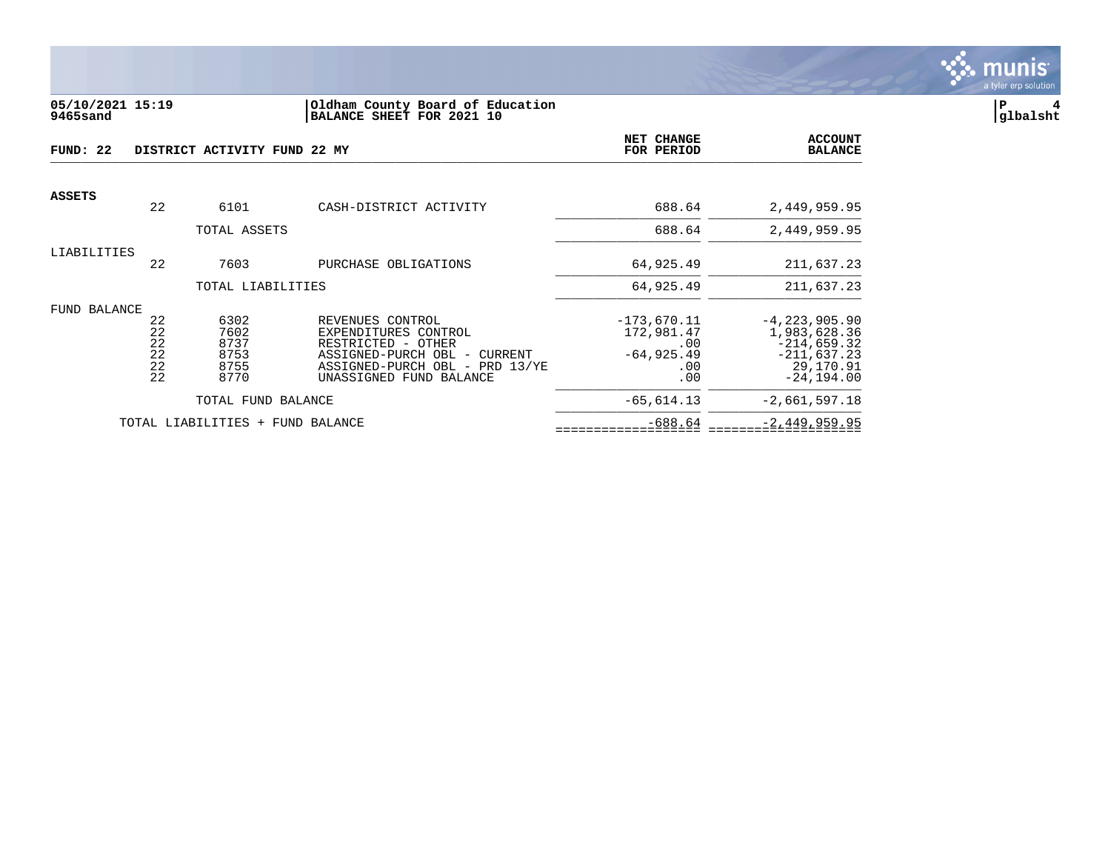

#### **05/10/2021 15:19 |Oldham County Board of Education |P 4 9465sand |BALANCE SHEET FOR 2021 10 |glbalsht**

| FUND: 22      |                                  | DISTRICT ACTIVITY FUND 22 MY                 |                                                                                                                                                                | NET CHANGE<br>FOR PERIOD                                          | <b>ACCOUNT</b><br><b>BALANCE</b>                                                                  |
|---------------|----------------------------------|----------------------------------------------|----------------------------------------------------------------------------------------------------------------------------------------------------------------|-------------------------------------------------------------------|---------------------------------------------------------------------------------------------------|
| <b>ASSETS</b> |                                  |                                              |                                                                                                                                                                |                                                                   |                                                                                                   |
|               | 22                               | 6101                                         | CASH-DISTRICT ACTIVITY                                                                                                                                         | 688.64                                                            | 2,449,959.95                                                                                      |
|               |                                  | TOTAL ASSETS                                 |                                                                                                                                                                | 688.64                                                            | 2,449,959.95                                                                                      |
| LIABILITIES   | 22                               | 7603                                         | PURCHASE OBLIGATIONS                                                                                                                                           | 64,925.49                                                         | 211,637.23                                                                                        |
|               |                                  | TOTAL LIABILITIES                            |                                                                                                                                                                | 64,925.49                                                         | 211,637.23                                                                                        |
| FUND BALANCE  | 22<br>22<br>22<br>22<br>22<br>22 | 6302<br>7602<br>8737<br>8753<br>8755<br>8770 | REVENUES CONTROL<br>EXPENDITURES CONTROL<br>RESTRICTED - OTHER<br>ASSIGNED-PURCH OBL -<br>CURRENT<br>ASSIGNED-PURCH OBL - PRD 13/YE<br>UNASSIGNED FUND BALANCE | $-173,670.11$<br>172,981.47<br>.00<br>$-64, 925.49$<br>.00<br>.00 | $-4, 223, 905.90$<br>1,983,628.36<br>$-214,659.32$<br>$-211,637.23$<br>29,170.91<br>$-24, 194.00$ |
|               |                                  | TOTAL FUND BALANCE                           |                                                                                                                                                                | $-65,614.13$                                                      | $-2,661,597.18$                                                                                   |
|               |                                  | TOTAL LIABILITIES + FUND BALANCE             |                                                                                                                                                                | $-688.64$                                                         | $-2, 449, 959.95$                                                                                 |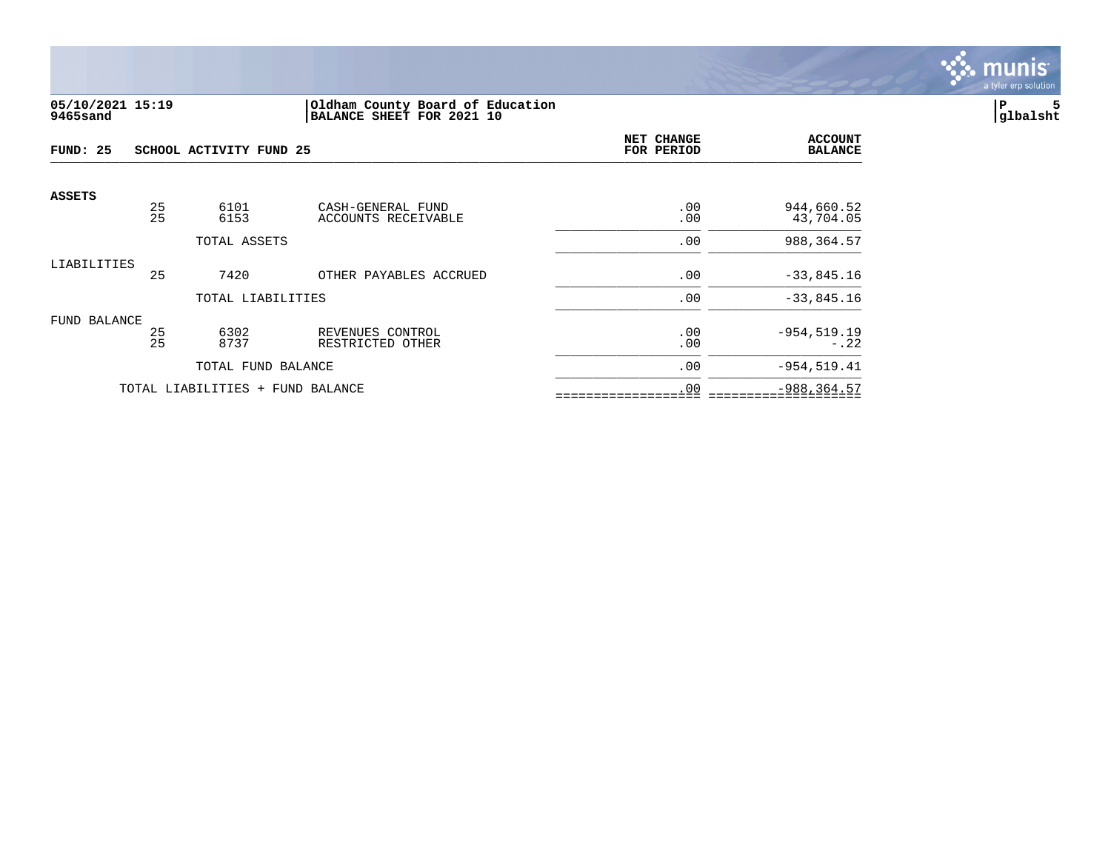

#### **05/10/2021 15:19 |Oldham County Board of Education |P 5 9465sand |BALANCE SHEET FOR 2021 10 |glbalsht**

| FUND: 25      |          | SCHOOL ACTIVITY FUND 25          |                                      | NET CHANGE<br>FOR PERIOD | <b>ACCOUNT</b><br><b>BALANCE</b> |
|---------------|----------|----------------------------------|--------------------------------------|--------------------------|----------------------------------|
| <b>ASSETS</b> | 25<br>25 | 6101                             | CASH-GENERAL FUND                    | .00                      | 944,660.52                       |
|               |          | 6153                             | ACCOUNTS RECEIVABLE                  | .00                      | 43,704.05                        |
|               |          | TOTAL ASSETS                     |                                      | .00                      | 988,364.57                       |
| LIABILITIES   | 25       | 7420                             | OTHER PAYABLES ACCRUED               | .00                      | $-33,845.16$                     |
|               |          | TOTAL LIABILITIES                |                                      | .00                      | $-33,845.16$                     |
| FUND BALANCE  |          |                                  |                                      |                          |                                  |
|               | 25<br>25 | 6302<br>8737                     | REVENUES CONTROL<br>RESTRICTED OTHER | .00<br>.00               | $-954, 519.19$<br>$-.22$         |
|               |          | TOTAL FUND BALANCE               |                                      | .00                      | $-954, 519.41$                   |
|               |          | TOTAL LIABILITIES + FUND BALANCE |                                      | .00                      | $-988, 364.57$                   |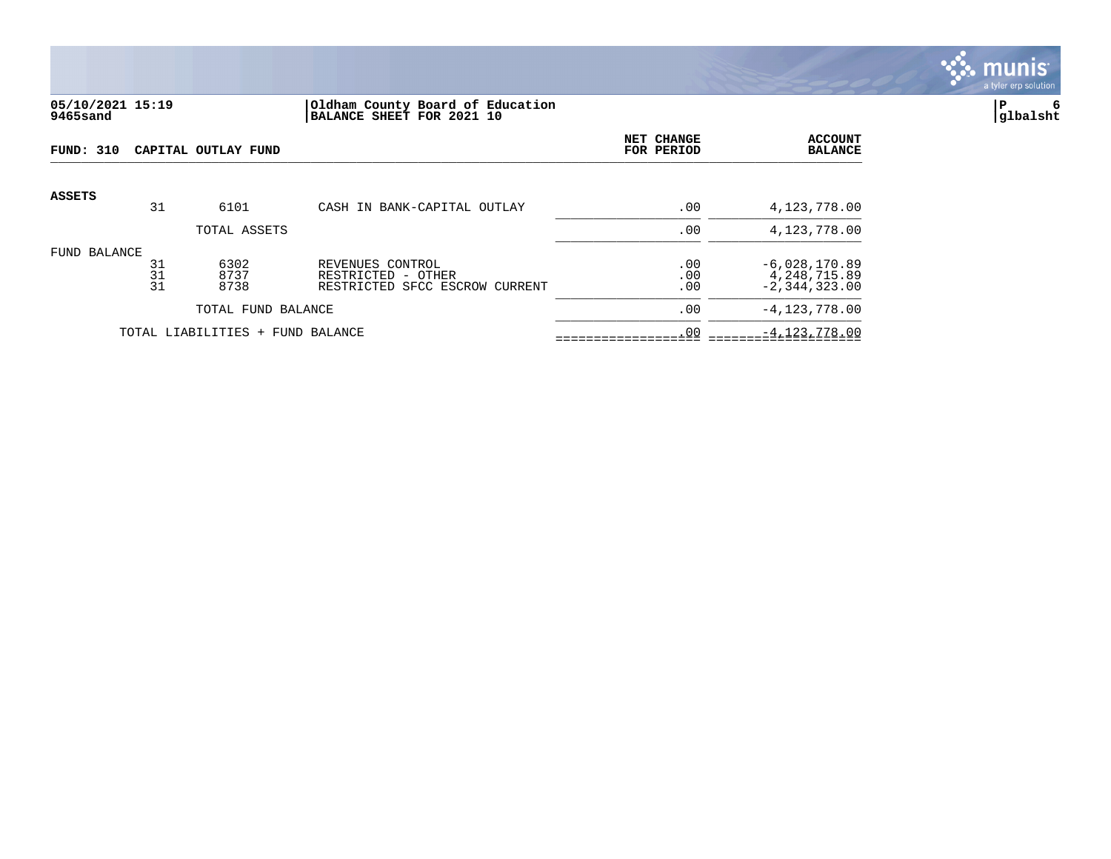

# **05/10/2021 15:19 |Oldham County Board of Education |P 6 9465sand |BALANCE SHEET FOR 2021 10 |glbalsht**

| <b>FUND: 310</b> |                | CAPITAL OUTLAY FUND              |                                                                          | NET CHANGE<br>FOR PERIOD | <b>ACCOUNT</b><br><b>BALANCE</b>                     |
|------------------|----------------|----------------------------------|--------------------------------------------------------------------------|--------------------------|------------------------------------------------------|
| <b>ASSETS</b>    | 31             | 6101                             | CASH IN BANK-CAPITAL OUTLAY                                              | .00                      | 4,123,778.00                                         |
|                  |                | TOTAL ASSETS                     |                                                                          | .00                      | 4,123,778.00                                         |
| FUND BALANCE     | 31<br>31<br>31 | 6302<br>8737<br>8738             | REVENUES CONTROL<br>RESTRICTED - OTHER<br>RESTRICTED SFCC ESCROW CURRENT | .00<br>.00<br>.00        | $-6,028,170.89$<br>4,248,715.89<br>$-2, 344, 323.00$ |
|                  |                | TOTAL FUND BALANCE               |                                                                          | .00                      | $-4, 123, 778.00$                                    |
|                  |                | TOTAL LIABILITIES + FUND BALANCE |                                                                          | .00                      | $-4, 123, 778.00$                                    |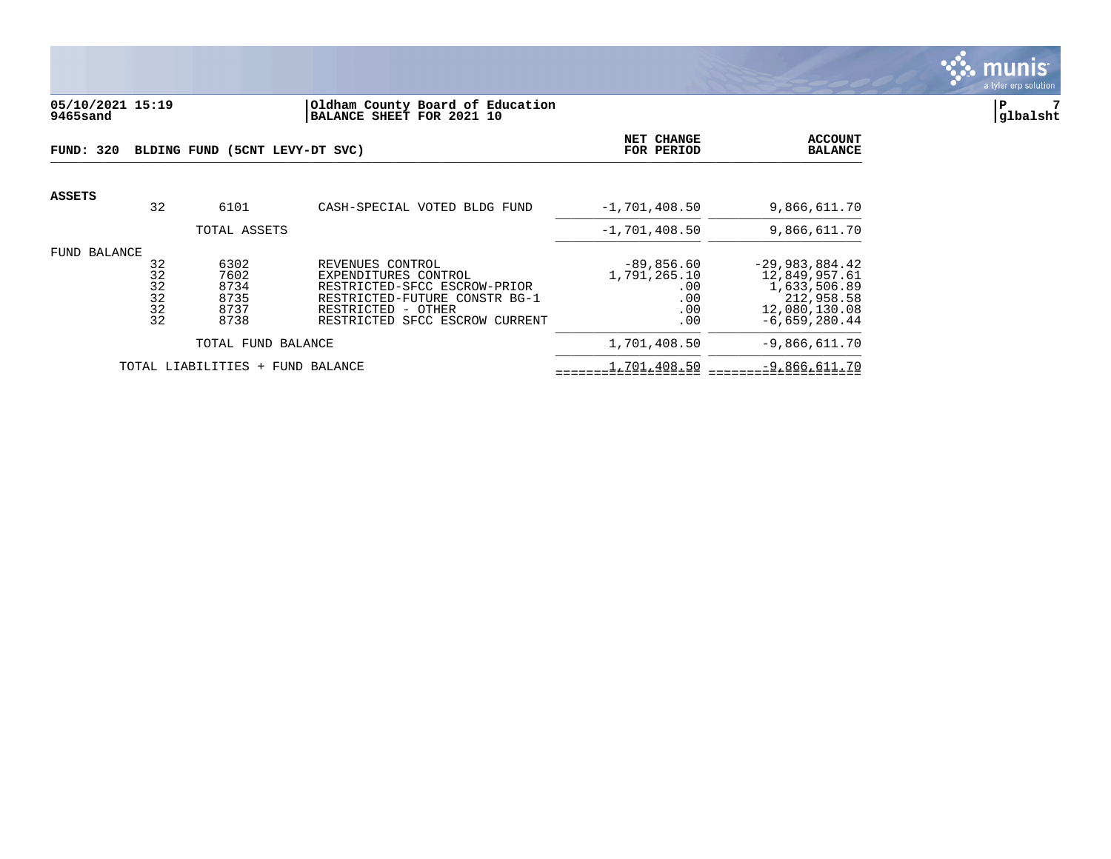

#### **05/10/2021 15:19 |Oldham County Board of Education |P 7 9465sand |BALANCE SHEET FOR 2021 10 |glbalsht**

| FUND: 320     |                                  | BLDING FUND (5CNT LEVY-DT SVC)               | NET CHANGE<br>FOR PERIOD                                                                                                                                          | <b>ACCOUNT</b><br><b>BALANCE</b>                          |                                                                                                     |
|---------------|----------------------------------|----------------------------------------------|-------------------------------------------------------------------------------------------------------------------------------------------------------------------|-----------------------------------------------------------|-----------------------------------------------------------------------------------------------------|
| <b>ASSETS</b> | 32                               | 6101                                         | CASH-SPECIAL VOTED BLDG FUND                                                                                                                                      | $-1,701,408.50$                                           | 9,866,611.70                                                                                        |
|               |                                  | TOTAL ASSETS                                 |                                                                                                                                                                   | $-1,701,408.50$                                           | 9,866,611.70                                                                                        |
| FUND BALANCE  | 32<br>32<br>32<br>32<br>32<br>32 | 6302<br>7602<br>8734<br>8735<br>8737<br>8738 | REVENUES CONTROL<br>EXPENDITURES CONTROL<br>RESTRICTED-SFCC ESCROW-PRIOR<br>RESTRICTED-FUTURE CONSTR BG-1<br>RESTRICTED - OTHER<br>RESTRICTED SFCC ESCROW CURRENT | $-89, 856.60$<br>1,791,265.10<br>.00<br>.00<br>.00<br>.00 | $-29,983,884.42$<br>12,849,957.61<br>1,633,506.89<br>212,958.58<br>12,080,130.08<br>$-6,659,280.44$ |
|               |                                  | TOTAL FUND BALANCE                           |                                                                                                                                                                   | 1,701,408.50                                              | $-9,866,611.70$                                                                                     |
|               |                                  | TOTAL LIABILITIES +                          | FUND BALANCE                                                                                                                                                      | 1,701,408.50                                              | $-9,866,611.70$                                                                                     |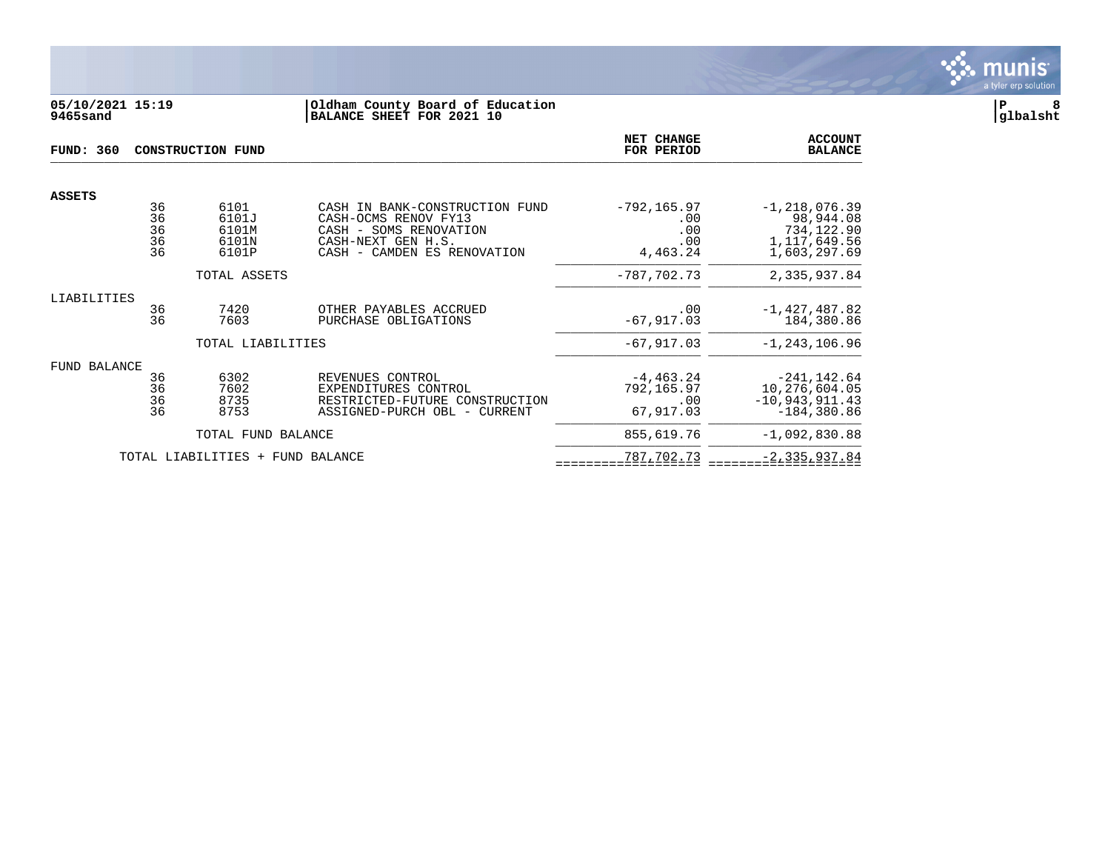

### **05/10/2021 15:19 |Oldham County Board of Education |P 8 9465sand |BALANCE SHEET FOR 2021 10 |glbalsht**

| <b>FUND: 360</b>                                |                                   | <b>CONSTRUCTION FUND</b>                 | <b>NET CHANGE</b><br>FOR PERIOD                                                                                                       | <b>ACCOUNT</b><br><b>BALANCE</b>                |                                                                                |
|-------------------------------------------------|-----------------------------------|------------------------------------------|---------------------------------------------------------------------------------------------------------------------------------------|-------------------------------------------------|--------------------------------------------------------------------------------|
| <b>ASSETS</b>                                   |                                   |                                          |                                                                                                                                       |                                                 |                                                                                |
|                                                 | 36<br>$\frac{36}{36}$<br>36<br>36 | 6101<br>6101J<br>6101M<br>6101N<br>6101P | CASH IN BANK-CONSTRUCTION FUND<br>CASH-OCMS RENOV FY13<br>CASH - SOMS RENOVATION<br>CASH-NEXT GEN H.S.<br>CASH - CAMDEN ES RENOVATION | $-792, 165.97$<br>.00<br>.00<br>.00<br>4,463.24 | $-1, 218, 076.39$<br>98,944.08<br>734,122.90<br>1, 117, 649.56<br>1,603,297.69 |
|                                                 |                                   | TOTAL ASSETS                             |                                                                                                                                       | $-787,702.73$                                   | 2,335,937.84                                                                   |
| LIABILITIES                                     |                                   |                                          |                                                                                                                                       |                                                 |                                                                                |
|                                                 | 36<br>36                          | 7420<br>7603                             | OTHER PAYABLES ACCRUED<br>PURCHASE OBLIGATIONS                                                                                        | .00<br>$-67, 917.03$                            | $-1,427,487.82$<br>184,380.86                                                  |
|                                                 |                                   | TOTAL LIABILITIES                        |                                                                                                                                       | $-67,917.03$                                    | $-1, 243, 106.96$                                                              |
| FUND BALANCE                                    |                                   |                                          |                                                                                                                                       |                                                 |                                                                                |
|                                                 | 36<br>36<br>36<br>36              | 6302<br>7602<br>8735<br>8753             | REVENUES CONTROL<br>EXPENDITURES CONTROL<br>RESTRICTED-FUTURE CONSTRUCTION<br>ASSIGNED-PURCH OBL - CURRENT                            | $-4, 463.24$<br>792,165.97<br>.00<br>67,917.03  | $-241, 142.64$<br>10,276,604.05<br>$-10,943,911.43$<br>$-184,380.86$           |
|                                                 |                                   | TOTAL FUND BALANCE                       |                                                                                                                                       | 855,619.76                                      | $-1,092,830.88$                                                                |
| TOTAL LIABILITIES<br><b>FUND BALANCE</b><br>$+$ |                                   |                                          | 787,702.73                                                                                                                            | $-2, 335, 937.84$                               |                                                                                |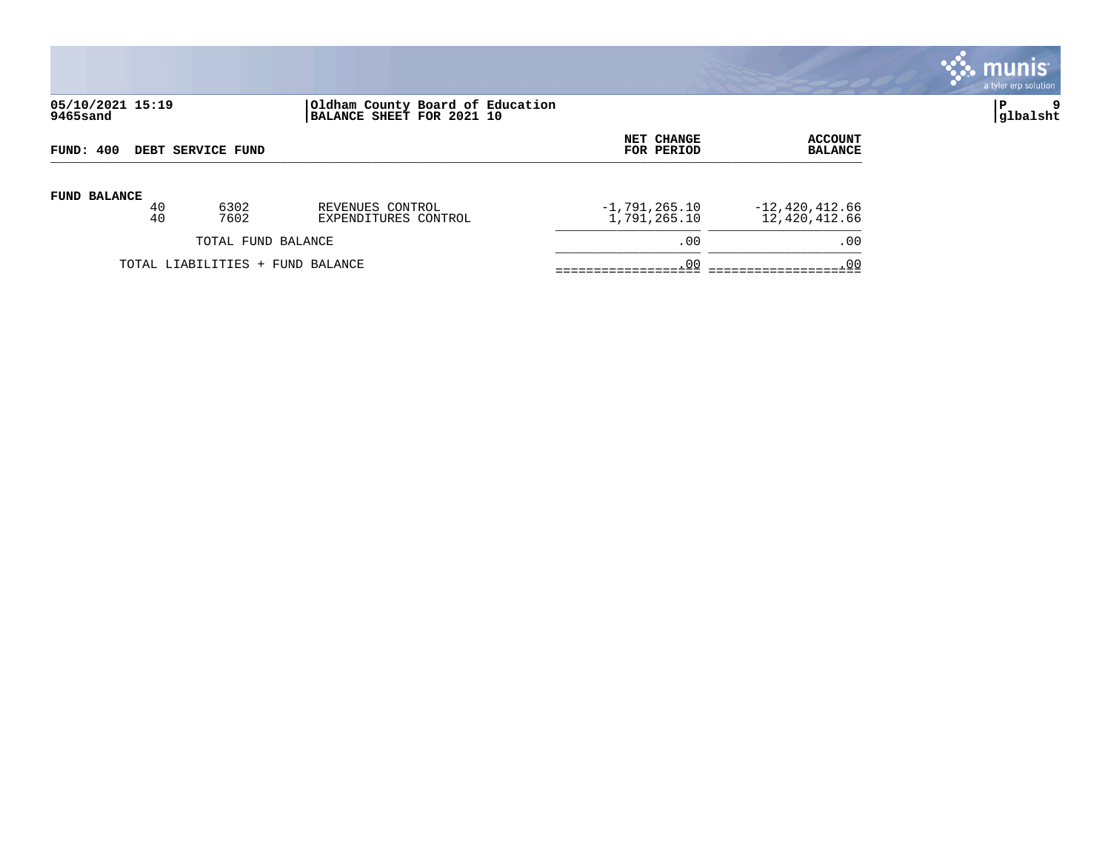

# **05/10/2021 15:19 |Oldham County Board of Education |P 9 9465sand |BALANCE SHEET FOR 2021 10 |glbalsht**

| FUND: 400           |    |                                  | NET CHANGE           | ACCOUNT         |                  |
|---------------------|----|----------------------------------|----------------------|-----------------|------------------|
| DEBT SERVICE FUND   |    |                                  | FOR PERIOD           | <b>BALANCE</b>  |                  |
| <b>FUND BALANCE</b> | 40 | 6302                             | REVENUES CONTROL     | $-1,791,265.10$ | $-12,420,412.66$ |
|                     | 40 | 7602                             | EXPENDITURES CONTROL | 1,791,265.10    | 12,420,412.66    |
|                     |    | TOTAL FUND BALANCE               |                      | .00             | .00              |
|                     |    | TOTAL LIABILITIES + FUND BALANCE |                      | .00             | .00              |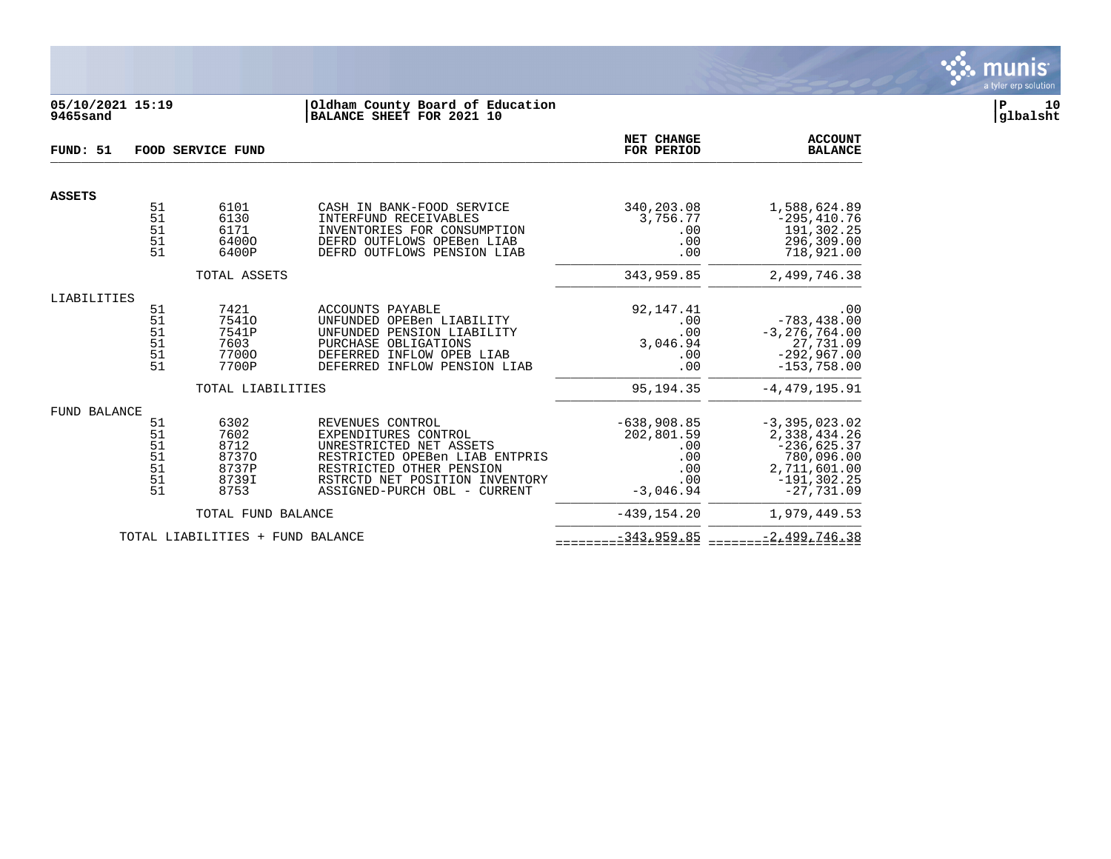

### **05/10/2021 15:19 |Oldham County Board of Education |P 10 9465sand |BALANCE SHEET FOR 2021 10 |glbalsht**

| FUND: 51      | FOOD SERVICE FUND                             |                                                         |                                                                                                                                                                                                     | NET CHANGE<br>FOR PERIOD                                               | <b>ACCOUNT</b><br><b>BALANCE</b>                                                                                   |
|---------------|-----------------------------------------------|---------------------------------------------------------|-----------------------------------------------------------------------------------------------------------------------------------------------------------------------------------------------------|------------------------------------------------------------------------|--------------------------------------------------------------------------------------------------------------------|
| <b>ASSETS</b> |                                               |                                                         |                                                                                                                                                                                                     |                                                                        |                                                                                                                    |
|               | 51<br>51<br>51<br>51<br>51                    | 6101<br>6130<br>6171<br>64000<br>6400P                  | CASH IN BANK-FOOD SERVICE<br>INTERFUND RECEIVABLES<br>INVENTORIES FOR CONSUMPTION<br>DEFRD OUTFLOWS OPEBen LIAB<br>DEFRD OUTFLOWS PENSION LIAB                                                      | 340,203.08<br>3,756.77<br>$.00 \,$<br>.00<br>.00                       | 1,588,624.89<br>$-295, 410.76$<br>191,302.25<br>296,309.00<br>718,921.00                                           |
|               |                                               | TOTAL ASSETS                                            |                                                                                                                                                                                                     | 343,959.85                                                             | 2,499,746.38                                                                                                       |
| LIABILITIES   |                                               |                                                         |                                                                                                                                                                                                     |                                                                        |                                                                                                                    |
|               | 51<br>51<br>51<br>51<br>51<br>51              | 7421<br>75410<br>7541P<br>7603<br>77000<br>7700P        | ACCOUNTS PAYABLE<br>UNFUNDED OPEBen LIABILITY<br>UNFUNDED PENSION LIABILITY<br>PURCHASE OBLIGATIONS<br>DEFERRED INFLOW OPEB LIAB<br>DEFERRED INFLOW PENSION LIAB                                    | 92, 147. 41<br>.00<br>.00<br>3,046.94<br>.00<br>.00                    | .00<br>$-783, 438.00$<br>$-3, 276, 764.00$<br>27,731.09<br>$-292,967.00$<br>$-153,758.00$                          |
|               |                                               | TOTAL LIABILITIES                                       |                                                                                                                                                                                                     | 95,194.35                                                              | $-4, 479, 195.91$                                                                                                  |
| FUND BALANCE  | 51<br>51<br>51<br>51<br>$\frac{51}{51}$<br>51 | 6302<br>7602<br>8712<br>87370<br>8737P<br>8739I<br>8753 | REVENUES CONTROL<br>EXPENDITURES CONTROL<br>UNRESTRICTED NET ASSETS<br>RESTRICTED OPEBen LIAB ENTPRIS<br>RESTRICTED OTHER PENSION<br>RSTRCTD NET POSITION INVENTORY<br>ASSIGNED-PURCH OBL - CURRENT | $-638,908.85$<br>202,801.59<br>.00<br>.00<br>.00<br>.00<br>$-3.046.94$ | $-3, 395, 023.02$<br>2,338,434.26<br>$-236,625.37$<br>780,096.00<br>2,711,601.00<br>$-191, 302.25$<br>$-27,731.09$ |
|               |                                               | TOTAL FUND BALANCE                                      |                                                                                                                                                                                                     | $-439, 154.20$                                                         | 1,979,449.53                                                                                                       |
|               |                                               | TOTAL LIABILITIES + FUND BALANCE                        |                                                                                                                                                                                                     | $-343, 959.85$                                                         | $-2,499,746.38$                                                                                                    |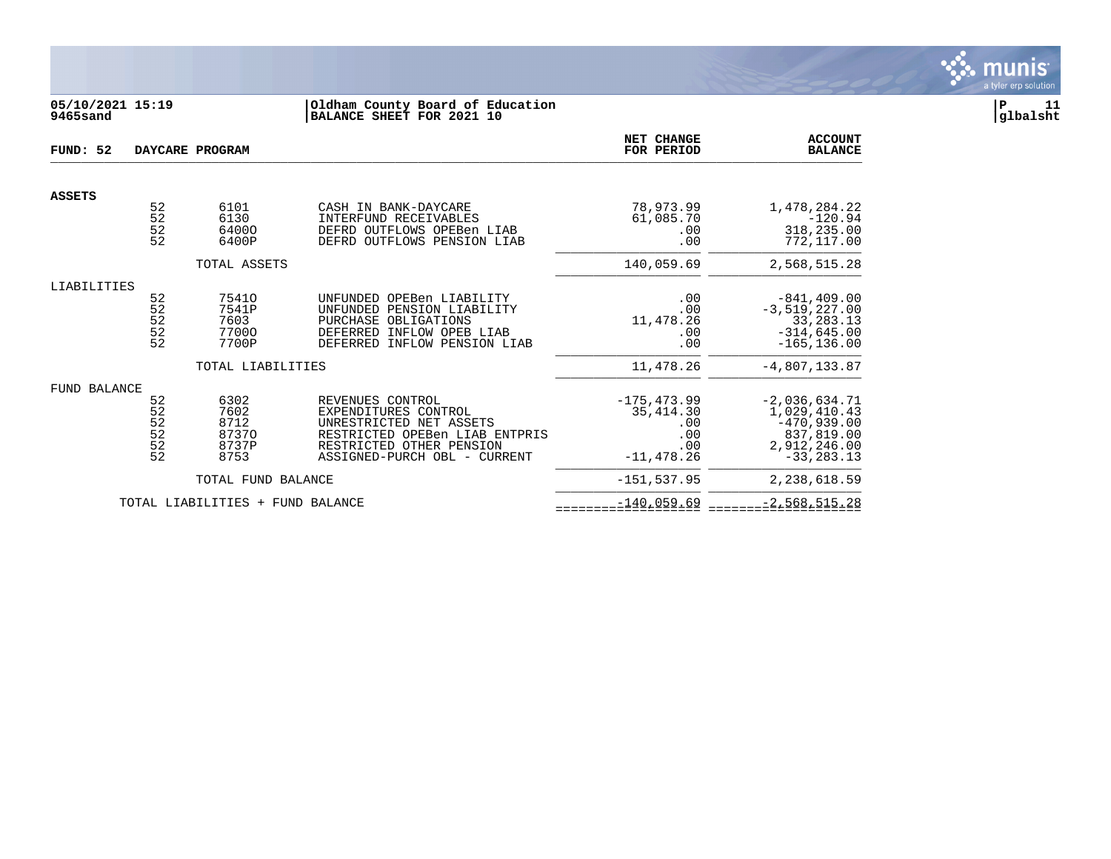

# **05/10/2021 15:19 |Oldham County Board of Education |P 11 9465sand |BALANCE SHEET FOR 2021 10 |glbalsht**

| FUND: 52            |                                   | DAYCARE PROGRAM                                               |                                                                                                                                                                   | NET CHANGE<br>FOR PERIOD                                          | <b>ACCOUNT</b><br><b>BALANCE</b>                                                                       |
|---------------------|-----------------------------------|---------------------------------------------------------------|-------------------------------------------------------------------------------------------------------------------------------------------------------------------|-------------------------------------------------------------------|--------------------------------------------------------------------------------------------------------|
| <b>ASSETS</b>       |                                   |                                                               |                                                                                                                                                                   |                                                                   |                                                                                                        |
|                     | $\frac{52}{52}$<br>52<br>52       | 6101<br>6130<br>64000<br>6400P                                | CASH IN BANK-DAYCARE<br>INTERFUND RECEIVABLES<br>DEFRD OUTFLOWS OPEBen LIAB<br>DEFRD OUTFLOWS PENSION LIAB                                                        | 78,973.99<br>61,085.70<br>.00<br>.00                              | 1,478,284.22<br>$-120.94$<br>318,235.00<br>772,117.00                                                  |
|                     |                                   | TOTAL ASSETS                                                  |                                                                                                                                                                   | 140,059.69                                                        | 2,568,515.28                                                                                           |
| LIABILITIES         | 52<br>52<br>$\frac{52}{52}$<br>52 | 75410<br>7541P<br>7603<br>77000<br>7700P<br>TOTAL LIABILITIES | UNFUNDED OPEBen LIABILITY<br>UNFUNDED PENSION LIABILITY<br>PURCHASE OBLIGATIONS<br>DEFERRED INFLOW OPEB LIAB<br>DEFERRED INFLOW PENSION LIAB                      | .00<br>.00<br>11,478.26<br>.00<br>.00<br>11,478.26                | $-841, 409.00$<br>$-3,519,227.00$<br>33, 283. 13<br>$-314,645.00$<br>$-165, 136.00$<br>$-4,807,133.87$ |
| <b>FUND BALANCE</b> | 52<br>52<br>52<br>52<br>52<br>52  | 6302<br>7602<br>8712<br>87370<br>8737P<br>8753                | REVENUES CONTROL<br>EXPENDITURES CONTROL<br>UNRESTRICTED NET ASSETS<br>RESTRICTED OPEBen LIAB ENTPRIS<br>RESTRICTED OTHER PENSION<br>ASSIGNED-PURCH OBL - CURRENT | $-175, 473.99$<br>35, 414.30<br>.00<br>.00<br>.00<br>$-11,478.26$ | $-2,036,634.71$<br>1,029,410.43<br>$-470,939.00$<br>837,819.00<br>2,912,246.00<br>$-33, 283, 13$       |
|                     |                                   | TOTAL FUND BALANCE                                            |                                                                                                                                                                   | $-151, 537.95$                                                    | 2,238,618.59                                                                                           |
|                     |                                   | TOTAL LIABILITIES + FUND BALANCE                              |                                                                                                                                                                   | $-140,059.69$                                                     | $-2,568,515.28$                                                                                        |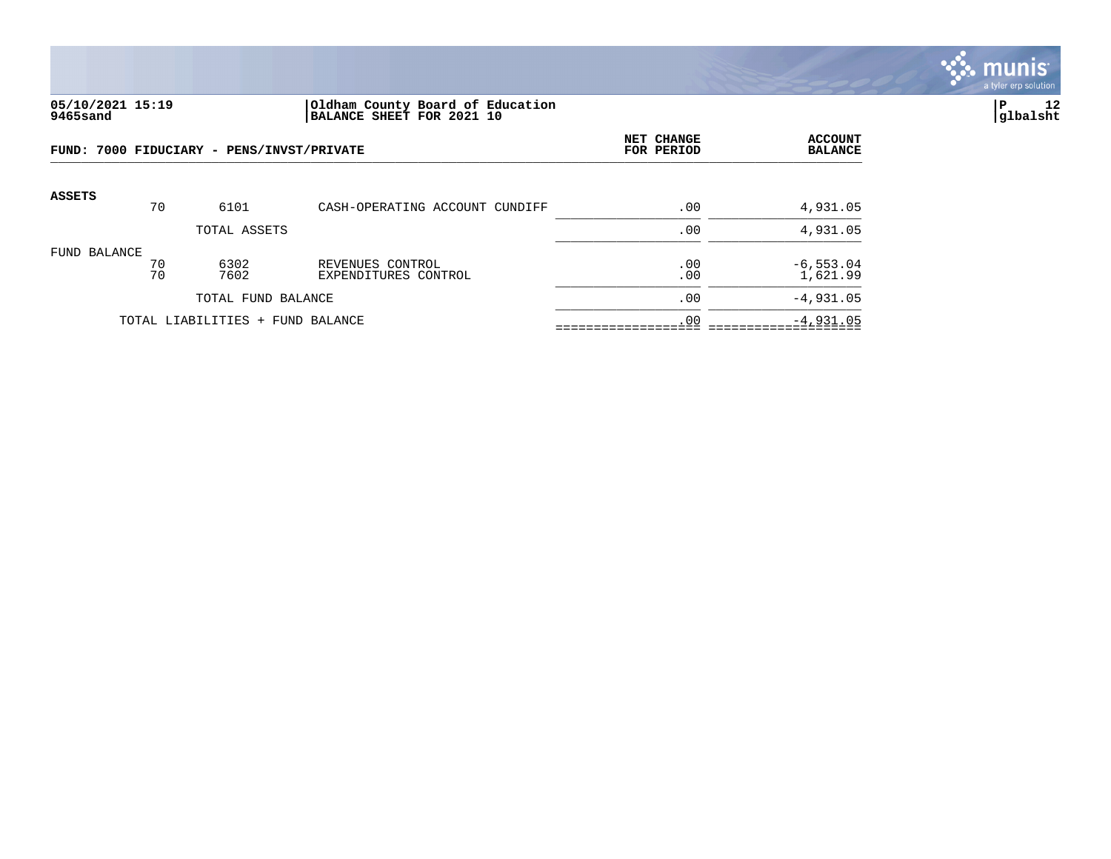

#### **05/10/2021 15:19 |Oldham County Board of Education |P 12 9465sand |BALANCE SHEET FOR 2021 10 |glbalsht**

| FUND: 7000 FIDUCIARY - PENS/INVST/PRIVATE |          |                                  |                                          | NET CHANGE<br>FOR PERIOD | <b>ACCOUNT</b><br><b>BALANCE</b> |
|-------------------------------------------|----------|----------------------------------|------------------------------------------|--------------------------|----------------------------------|
| <b>ASSETS</b>                             | 70       | 6101                             | CASH-OPERATING ACCOUNT CUNDIFF           | .00                      | 4,931.05                         |
|                                           |          | TOTAL ASSETS                     |                                          | .00                      | 4,931.05                         |
| FUND BALANCE                              | 70<br>70 | 6302<br>7602                     | REVENUES CONTROL<br>EXPENDITURES CONTROL | .00<br>.00               | $-6, 553.04$<br>1,621.99         |
|                                           |          | TOTAL FUND BALANCE               |                                          | .00                      | $-4,931.05$                      |
|                                           |          | TOTAL LIABILITIES + FUND BALANCE |                                          | .00                      | $-4,931.05$                      |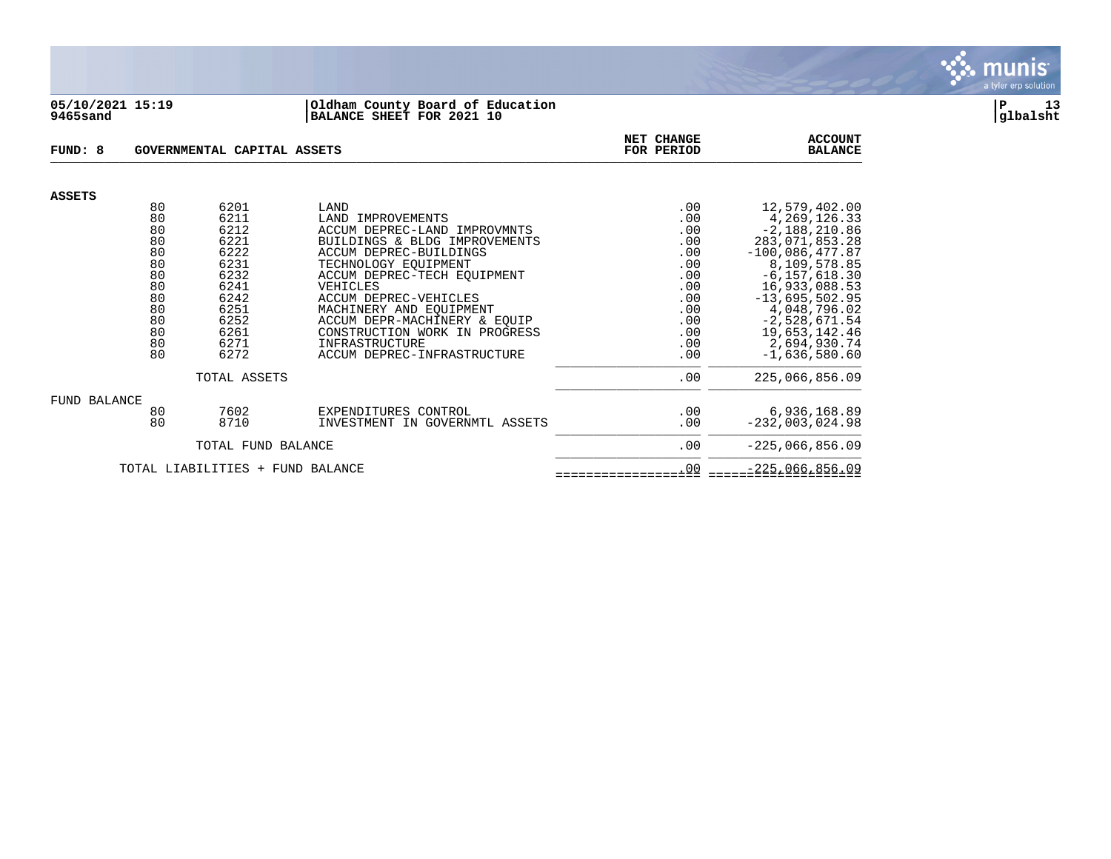

#### **05/10/2021 15:19 |Oldham County Board of Education |P 13 9465sand |BALANCE SHEET FOR 2021 10 |glbalsht**

| FUND: 8                          |                                                                                  | GOVERNMENTAL CAPITAL ASSETS                                                                                  |                                                                                                                                                                                                                                                                                                                                                               | <b>NET CHANGE</b><br>FOR PERIOD                                                                | <b>ACCOUNT</b><br><b>BALANCE</b>                                                                                                                                                                                                                            |
|----------------------------------|----------------------------------------------------------------------------------|--------------------------------------------------------------------------------------------------------------|---------------------------------------------------------------------------------------------------------------------------------------------------------------------------------------------------------------------------------------------------------------------------------------------------------------------------------------------------------------|------------------------------------------------------------------------------------------------|-------------------------------------------------------------------------------------------------------------------------------------------------------------------------------------------------------------------------------------------------------------|
| <b>ASSETS</b>                    |                                                                                  |                                                                                                              |                                                                                                                                                                                                                                                                                                                                                               |                                                                                                |                                                                                                                                                                                                                                                             |
|                                  | 80<br>80<br>80<br>80<br>80<br>80<br>80<br>80<br>80<br>80<br>80<br>80<br>80<br>80 | 6201<br>6211<br>6212<br>6221<br>6222<br>6231<br>6232<br>6241<br>6242<br>6251<br>6252<br>6261<br>6271<br>6272 | LAND<br>LAND IMPROVEMENTS<br>ACCUM DEPREC-LAND IMPROVMNTS<br>BUILDINGS & BLDG IMPROVEMENTS<br>ACCUM DEPREC-BUILDINGS<br>TECHNOLOGY EOUIPMENT<br>ACCUM DEPREC-TECH EOUIPMENT<br>VEHICLES<br>ACCUM DEPREC-VEHICLES<br>MACHINERY AND EQUIPMENT<br>ACCUM DEPR-MACHINERY & EQUIP<br>CONSTRUCTION WORK IN PROGRESS<br>INFRASTRUCTURE<br>ACCUM DEPREC-INFRASTRUCTURE | .00<br>.00<br>.00<br>.00<br>.00<br>.00<br>.00<br>.00<br>.00<br>.00<br>.00<br>.00<br>.00<br>.00 | 12,579,402.00<br>4, 269, 126. 33<br>$-2,188,210.86$<br>283,071,853.28<br>$-100,086,477.87$<br>8,109,578.85<br>$-6, 157, 618.30$<br>16,933,088.53<br>$-13,695,502.95$<br>4,048,796.02<br>$-2,528,671.54$<br>19,653,142.46<br>2,694,930.74<br>$-1,636,580.60$ |
|                                  |                                                                                  | TOTAL ASSETS                                                                                                 | .00                                                                                                                                                                                                                                                                                                                                                           | 225,066,856.09                                                                                 |                                                                                                                                                                                                                                                             |
| FUND BALANCE                     | 80<br>80                                                                         | 7602<br>8710                                                                                                 | EXPENDITURES CONTROL<br>INVESTMENT IN GOVERNMTL ASSETS                                                                                                                                                                                                                                                                                                        | .00<br>.00                                                                                     | 6,936,168.89<br>$-232,003,024.98$                                                                                                                                                                                                                           |
|                                  |                                                                                  | TOTAL FUND BALANCE                                                                                           | .00                                                                                                                                                                                                                                                                                                                                                           | $-225,066,856.09$                                                                              |                                                                                                                                                                                                                                                             |
| TOTAL LIABILITIES + FUND BALANCE |                                                                                  |                                                                                                              |                                                                                                                                                                                                                                                                                                                                                               | .00                                                                                            | $-225,066,856.09$                                                                                                                                                                                                                                           |